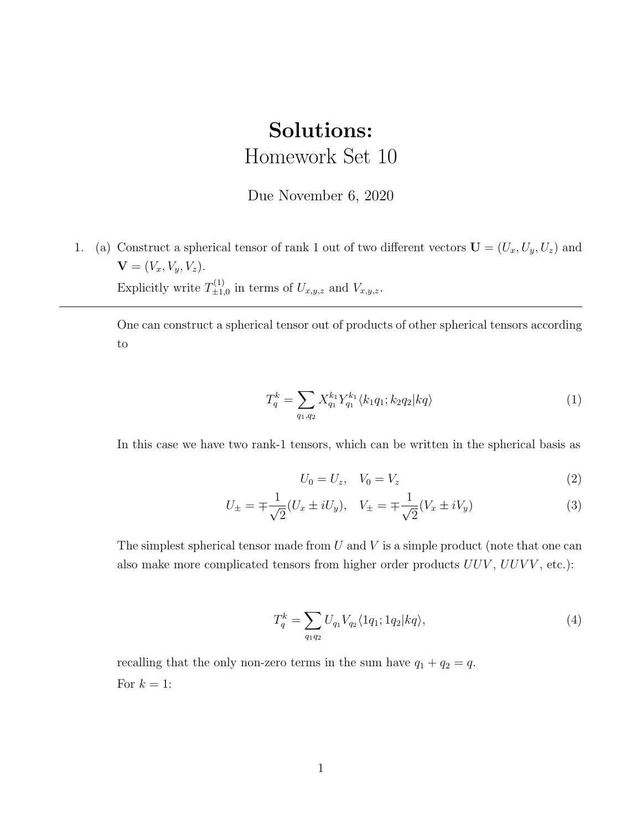## Solutions: Homework Set 10

## Due November 6, 2020

1. (a) Construct a spherical tensor of rank 1 out of two different vectors  $\mathbf{U} = (U_x, U_y, U_z)$  and  $$ Explicitly write  $T_{+1}^{(1)}$  $\mathcal{L}_{\pm 1,0}^{(1)}$  in terms of  $U_{x,y,z}$  and  $V_{x,y,z}$ .

One can construct a spherical tensor out of products of other spherical tensors according to

$$
T_q^k = \sum_{q_1, q_2} X_{q_1}^{k_1} Y_{q_1}^{k_1} \langle k_1 q_1; k_2 q_2 | k q \rangle \tag{1}
$$

In this case we have two rank-1 tensors, which can be written in the spherical basis as

$$
U_0 = U_z, \quad V_0 = V_z \tag{2}
$$

$$
U_{\pm} = \mp \frac{1}{\sqrt{2}} (U_x \pm iU_y), \quad V_{\pm} = \mp \frac{1}{\sqrt{2}} (V_x \pm iV_y)
$$
 (3)

The simplest spherical tensor made from  $U$  and  $V$  is a simple product (note that one can also make more complicated tensors from higher order products  $UUV$ ,  $UUVV$ , etc.):

$$
T_q^k = \sum_{q_1 q_2} U_{q_1} V_{q_2} \langle 1q_1; 1q_2 | kq \rangle, \tag{4}
$$

recalling that the only non-zero terms in the sum have  $q_1 + q_2 = q$ . For  $k = 1$ :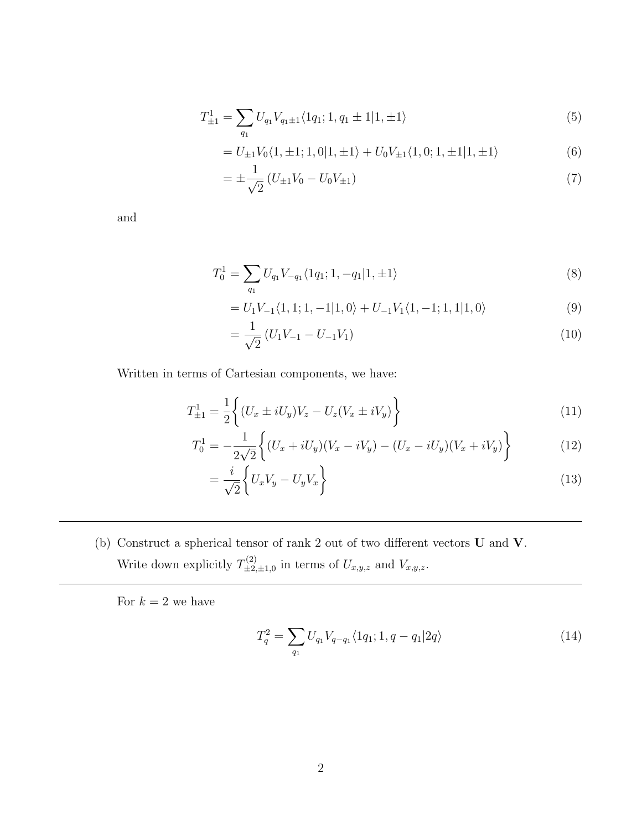$$
T_{\pm 1}^1 = \sum_{q_1} U_{q_1} V_{q_1 \pm 1} \langle 1q_1; 1, q_1 \pm 1 | 1, \pm 1 \rangle \tag{5}
$$

$$
= U_{\pm 1} V_0 \langle 1, \pm 1; 1, 0 | 1, \pm 1 \rangle + U_0 V_{\pm 1} \langle 1, 0; 1, \pm 1 | 1, \pm 1 \rangle \tag{6}
$$

$$
= \pm \frac{1}{\sqrt{2}} \left( U_{\pm 1} V_0 - U_0 V_{\pm 1} \right) \tag{7}
$$

and

$$
T_0^1 = \sum_{q_1} U_{q_1} V_{-q_1} \langle 1q_1; 1, -q_1 | 1, \pm 1 \rangle \tag{8}
$$

$$
= U_1 V_{-1} \langle 1, 1; 1, -1 | 1, 0 \rangle + U_{-1} V_1 \langle 1, -1; 1, 1 | 1, 0 \rangle \tag{9}
$$

$$
=\frac{1}{\sqrt{2}}\left(U_{1}V_{-1}-U_{-1}V_{1}\right)
$$
\n(10)

Written in terms of Cartesian components, we have:

$$
T_{\pm 1}^1 = \frac{1}{2} \left\{ (U_x \pm iU_y)V_z - U_z(V_x \pm iV_y) \right\}
$$
 (11)

$$
T_0^1 = -\frac{1}{2\sqrt{2}} \left\{ (U_x + iU_y)(V_x - iV_y) - (U_x - iU_y)(V_x + iV_y) \right\}
$$
(12)

$$
=\frac{i}{\sqrt{2}}\bigg\{U_xV_y-U_yV_x\bigg\}\tag{13}
$$

<span id="page-1-0"></span>(b) Construct a spherical tensor of rank 2 out of two different vectors  ${\bf U}$  and  ${\bf V}.$ Write down explicitly  $T_{+2}^{(2)}$  $\mathcal{L}_{\pm 2,\pm 1,0}^{(2)}$  in terms of  $U_{x,y,z}$  and  $V_{x,y,z}$ .

For  $k=2$  we have

$$
T_q^2 = \sum_{q_1} U_{q_1} V_{q-q_1} \langle 1q_1; 1, q - q_1 | 2q \rangle \tag{14}
$$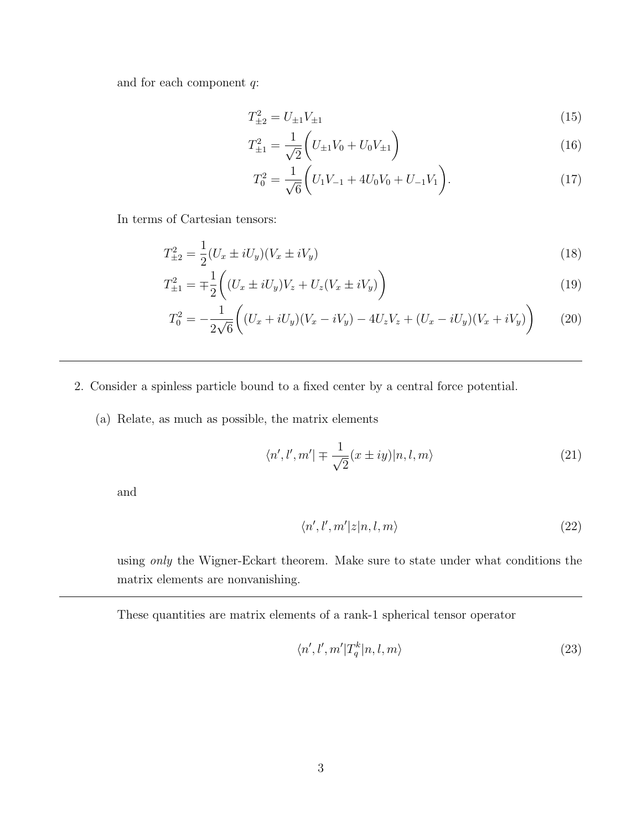and for each component  $q$ :

$$
T_{\pm 2}^2 = U_{\pm 1} V_{\pm 1} \tag{15}
$$

$$
T_{\pm 1}^2 = \frac{1}{\sqrt{2}} \left( U_{\pm 1} V_0 + U_0 V_{\pm 1} \right) \tag{16}
$$

$$
T_0^2 = \frac{1}{\sqrt{6}} \left( U_1 V_{-1} + 4U_0 V_0 + U_{-1} V_1 \right).
$$
 (17)

In terms of Cartesian tensors:

$$
T_{\pm 2}^2 = \frac{1}{2} (U_x \pm iU_y)(V_x \pm iV_y)
$$
\n(18)

$$
T_{\pm 1}^2 = \mp \frac{1}{2} \bigg( (U_x \pm iU_y)V_z + U_z(V_x \pm iV_y) \bigg) \tag{19}
$$

$$
T_0^2 = -\frac{1}{2\sqrt{6}} \bigg( (U_x + iU_y)(V_x - iV_y) - 4U_zV_z + (U_x - iU_y)(V_x + iV_y) \bigg) \tag{20}
$$

- 2. Consider a spinless particle bound to a fixed center by a central force potential.
	- (a) Relate, as much as possible, the matrix elements

$$
\langle n', l', m' | \mp \frac{1}{\sqrt{2}} (x \pm iy) | n, l, m \rangle \tag{21}
$$

and

$$
\langle n', l', m'|z|n, l, m\rangle \tag{22}
$$

using only the Wigner-Eckart theorem. Make sure to state under what conditions the matrix elements are nonvanishing.

These quantities are matrix elements of a rank-1 spherical tensor operator

$$
\langle n', l', m'|T_q^k|n, l, m\rangle \tag{23}
$$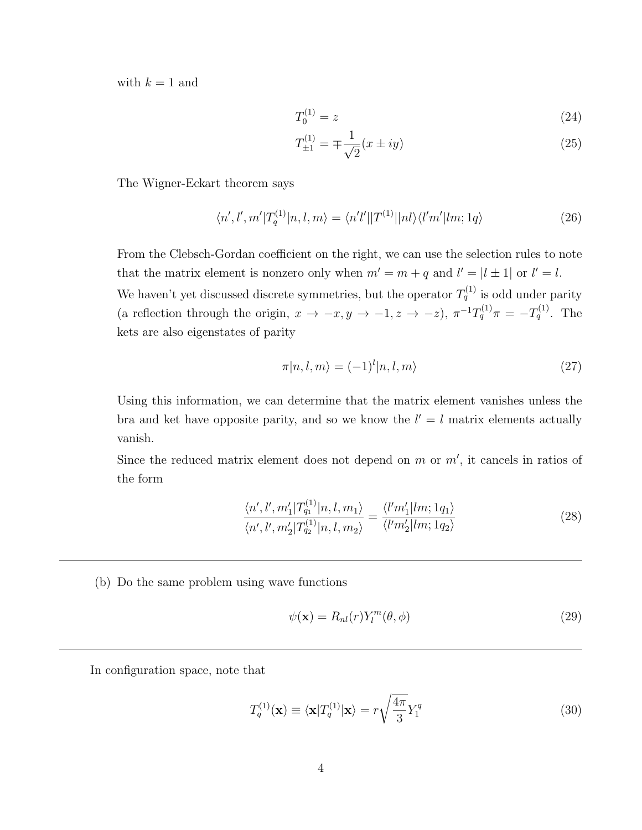with  $k = 1$  and

$$
T_0^{(1)} = z \tag{24}
$$

$$
T_{\pm 1}^{(1)} = \mp \frac{1}{\sqrt{2}} (x \pm iy)
$$
 (25)

The Wigner-Eckart theorem says

$$
\langle n', l', m'|T_q^{(1)}|n, l, m\rangle = \langle n'l'||T^{(1)}||nl\rangle \langle l'm'|lm; 1q\rangle \tag{26}
$$

From the Clebsch-Gordan coefficient on the right, we can use the selection rules to note that the matrix element is nonzero only when  $m' = m + q$  and  $l' = |l \pm 1|$  or  $l' = l$ .

We haven't yet discussed discrete symmetries, but the operator  $T_q^{(1)}$  is odd under parity (a reflection through the origin,  $x \to -x, y \to -1, z \to -z$ ),  $\pi^{-1}T_q^{(1)}\pi = -T_q^{(1)}$ . The kets are also eigenstates of parity

$$
\pi|n,l,m\rangle = (-1)^l |n,l,m\rangle \tag{27}
$$

Using this information, we can determine that the matrix element vanishes unless the bra and ket have opposite parity, and so we know the  $l' = l$  matrix elements actually vanish.

Since the reduced matrix element does not depend on  $m$  or  $m'$ , it cancels in ratios of the form

$$
\frac{\langle n', l', m_1'|T_{q_1}^{(1)}|n, l, m_1\rangle}{\langle n', l', m_2'|T_{q_2}^{(1)}|n, l, m_2\rangle} = \frac{\langle l'm_1'|lm; 1q_1\rangle}{\langle l'm_2'|lm; 1q_2\rangle} \tag{28}
$$

(b) Do the same problem using wave functions

$$
\psi(\mathbf{x}) = R_{nl}(r) Y_l^m(\theta, \phi) \tag{29}
$$

In configuration space, note that

$$
T_q^{(1)}(\mathbf{x}) \equiv \langle \mathbf{x} | T_q^{(1)} | \mathbf{x} \rangle = r \sqrt{\frac{4\pi}{3}} Y_1^q \tag{30}
$$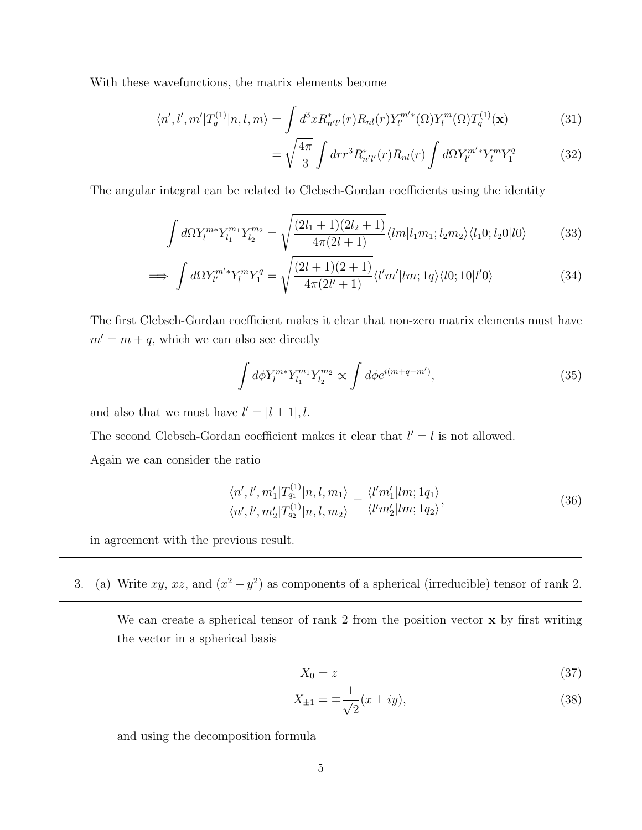With these wavefunctions, the matrix elements become

$$
\langle n',l',m'|T_q^{(1)}|n,l,m\rangle = \int d^3x R_{n'l'}^*(r) R_{nl}(r) Y_{l'}^{m'}(\Omega) Y_l^m(\Omega) T_q^{(1)}(\mathbf{x})
$$
(31)

$$
= \sqrt{\frac{4\pi}{3}} \int dr r^3 R_{n'l'}^*(r) R_{nl}(r) \int d\Omega Y_{l'}^{m'*} Y_l^m Y_1^q \tag{32}
$$

The angular integral can be related to Clebsch-Gordan coefficients using the identity

$$
\int d\Omega Y_l^{m*} Y_{l_1}^{m_1} Y_{l_2}^{m_2} = \sqrt{\frac{(2l_1+1)(2l_2+1)}{4\pi(2l+1)}} \langle lm|l_1m_1; l_2m_2\rangle \langle l_10; l_20|l0\rangle \tag{33}
$$

$$
\implies \int d\Omega Y_{l'}^{m'*} Y_l^m Y_1^q = \sqrt{\frac{(2l+1)(2+1)}{4\pi(2l'+1)}} \langle l'm'|lm;1q\rangle \langle l0;10|l'0\rangle \tag{34}
$$

The first Clebsch-Gordan coefficient makes it clear that non-zero matrix elements must have  $m' = m + q$ , which we can also see directly

$$
\int d\phi Y_l^{m*} Y_{l_1}^{m_1} Y_{l_2}^{m_2} \propto \int d\phi e^{i(m+q-m')},\tag{35}
$$

and also that we must have  $l' = (l \pm 1), l$ .

The second Clebsch-Gordan coefficient makes it clear that  $l' = l$  is not allowed.

Again we can consider the ratio

$$
\frac{\langle n', l', m_1'|T_{q_1}^{(1)}|n, l, m_1\rangle}{\langle n', l', m_2'|T_{q_2}^{(1)}|n, l, m_2\rangle} = \frac{\langle l'm_1'|lm; 1q_1\rangle}{\langle l'm_2'|lm; 1q_2\rangle},\tag{36}
$$

in agreement with the previous result.

3. (a) Write xy, xz, and  $(x^2 - y^2)$  as components of a spherical (irreducible) tensor of rank 2.

We can create a spherical tensor of rank 2 from the position vector **x** by first writing the vector in a spherical basis

$$
X_0 = z \tag{37}
$$

$$
X_{\pm 1} = \mp \frac{1}{\sqrt{2}} (x \pm iy),
$$
\n(38)

and using the decomposition formula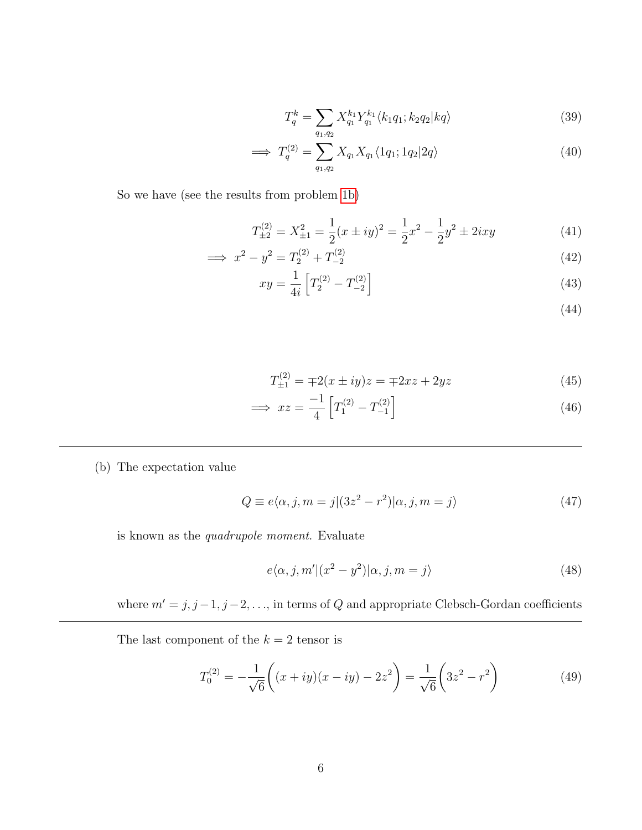$$
T_q^k = \sum_{q_1, q_2} X_{q_1}^{k_1} Y_{q_1}^{k_1} \langle k_1 q_1; k_2 q_2 | k q \rangle \tag{39}
$$

$$
\implies T_q^{(2)} = \sum_{q_1, q_2} X_{q_1} X_{q_1} \langle 1q_1; 1q_2 | 2q \rangle \tag{40}
$$

So we have (see the results from problem [1b\)](#page-1-0)

$$
T_{\pm 2}^{(2)} = X_{\pm 1}^2 = \frac{1}{2}(x \pm iy)^2 = \frac{1}{2}x^2 - \frac{1}{2}y^2 \pm 2ixy \tag{41}
$$

$$
\implies x^2 - y^2 = T_2^{(2)} + T_{-2}^{(2)} \tag{42}
$$

$$
xy = \frac{1}{4i} \left[ T_2^{(2)} - T_{-2}^{(2)} \right] \tag{43}
$$

(44)

$$
T_{\pm 1}^{(2)} = \mp 2(x \pm iy)z = \mp 2xz + 2yz \tag{45}
$$

$$
\implies xz = \frac{-1}{4} \left[ T_1^{(2)} - T_{-1}^{(2)} \right] \tag{46}
$$

(b) The expectation value

$$
Q \equiv e\langle \alpha, j, m = j | (3z^2 - r^2) | \alpha, j, m = j \rangle \tag{47}
$$

is known as the quadrupole moment. Evaluate

$$
e\langle \alpha, j, m' | (x^2 - y^2) | \alpha, j, m = j \rangle \tag{48}
$$

where  $m' = j, j - 1, j - 2, \ldots$ , in terms of Q and appropriate Clebsch-Gordan coefficients

The last component of the  $k = 2$  tensor is

$$
T_0^{(2)} = -\frac{1}{\sqrt{6}} \left( (x+iy)(x-iy) - 2z^2 \right) = \frac{1}{\sqrt{6}} \left( 3z^2 - r^2 \right) \tag{49}
$$